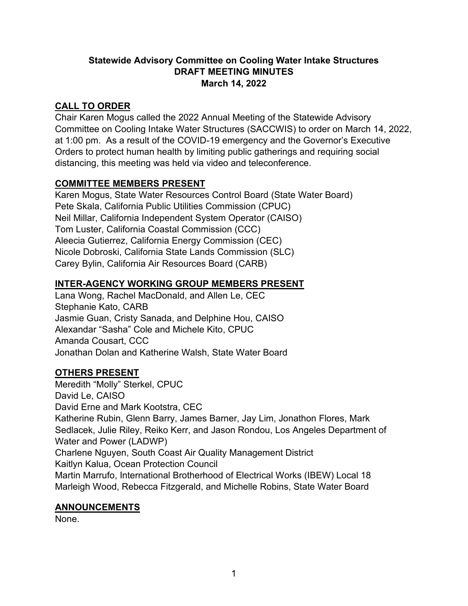## **Statewide Advisory Committee on Cooling Water Intake Structures DRAFT MEETING MINUTES March 14, 2022**

# **CALL TO ORDER**

Chair Karen Mogus called the 2022 Annual Meeting of the Statewide Advisory Committee on Cooling Intake Water Structures (SACCWIS) to order on March 14, 2022, at 1:00 pm. As a result of the COVID-19 emergency and the Governor's Executive Orders to protect human health by limiting public gatherings and requiring social distancing, this meeting was held via video and teleconference.

## **COMMITTEE MEMBERS PRESENT**

Karen Mogus, State Water Resources Control Board (State Water Board) Pete Skala, California Public Utilities Commission (CPUC) Neil Millar, California Independent System Operator (CAISO) Tom Luster, California Coastal Commission (CCC) Aleecia Gutierrez, California Energy Commission (CEC) Nicole Dobroski, California State Lands Commission (SLC) Carey Bylin, California Air Resources Board (CARB)

# **INTER-AGENCY WORKING GROUP MEMBERS PRESENT**

Lana Wong, Rachel MacDonald, and Allen Le, CEC Stephanie Kato, CARB Jasmie Guan, Cristy Sanada, and Delphine Hou, CAISO Alexandar "Sasha" Cole and Michele Kito, CPUC Amanda Cousart, CCC Jonathan Dolan and Katherine Walsh, State Water Board

# **OTHERS PRESENT**

Meredith "Molly" Sterkel, CPUC David Le, CAISO David Erne and Mark Kootstra, CEC Katherine Rubin, Glenn Barry, James Barner, Jay Lim, Jonathon Flores, Mark Sedlacek, Julie Riley, Reiko Kerr, and Jason Rondou, Los Angeles Department of Water and Power (LADWP) Charlene Nguyen, South Coast Air Quality Management District Kaitlyn Kalua, Ocean Protection Council Martin Marrufo, International Brotherhood of Electrical Works (IBEW) Local 18 Marleigh Wood, Rebecca Fitzgerald, and Michelle Robins, State Water Board

## **ANNOUNCEMENTS**

None.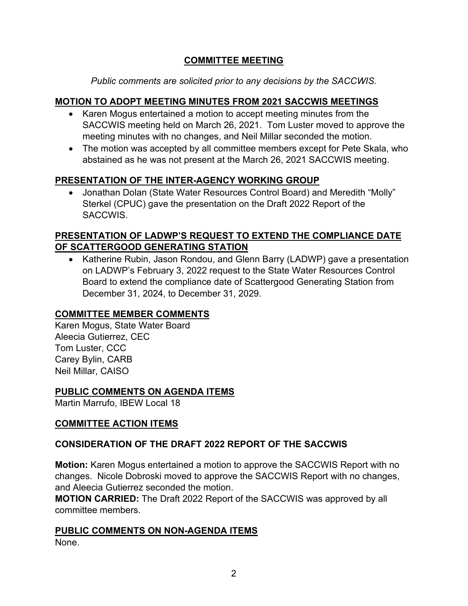# **COMMITTEE MEETING**

*Public comments are solicited prior to any decisions by the SACCWIS.*

## **MOTION TO ADOPT MEETING MINUTES FROM 2021 SACCWIS MEETINGS**

- · Karen Mogus entertained a motion to accept meeting minutes from the SACCWIS meeting held on March 26, 2021. Tom Luster moved to approve the meeting minutes with no changes, and Neil Millar seconded the motion.
- The motion was accepted by all committee members except for Pete Skala, who abstained as he was not present at the March 26, 2021 SACCWIS meeting.

## **PRESENTATION OF THE INTER-AGENCY WORKING GROUP**

· Jonathan Dolan (State Water Resources Control Board) and Meredith "Molly" Sterkel (CPUC) gave the presentation on the Draft 2022 Report of the SACCWIS.

# **PRESENTATION OF LADWP'S REQUEST TO EXTEND THE COMPLIANCE DATE OF SCATTERGOOD GENERATING STATION**

· Katherine Rubin, Jason Rondou, and Glenn Barry (LADWP) gave a presentation on LADWP's February 3, 2022 request to the State Water Resources Control Board to extend the compliance date of Scattergood Generating Station from December 31, 2024, to December 31, 2029.

## **COMMITTEE MEMBER COMMENTS**

Karen Mogus, State Water Board Aleecia Gutierrez, CEC Tom Luster, CCC Carey Bylin, CARB Neil Millar, CAISO

## **PUBLIC COMMENTS ON AGENDA ITEMS**

Martin Marrufo, IBEW Local 18

## **COMMITTEE ACTION ITEMS**

# **CONSIDERATION OF THE DRAFT 2022 REPORT OF THE SACCWIS**

**Motion:** Karen Mogus entertained a motion to approve the SACCWIS Report with no changes. Nicole Dobroski moved to approve the SACCWIS Report with no changes, and Aleecia Gutierrez seconded the motion.

**MOTION CARRIED:** The Draft 2022 Report of the SACCWIS was approved by all committee members.

**PUBLIC COMMENTS ON NON-AGENDA ITEMS** None.